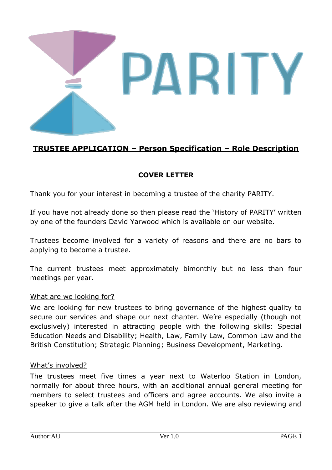

# **TRUSTEE APPLICATION – Person Specification – Role Description**

## **COVER LETTER**

Thank you for your interest in becoming a trustee of the charity PARITY.

If you have not already done so then please read the 'History of PARITY' written by one of the founders David Yarwood which is available on our website.

Trustees become involved for a variety of reasons and there are no bars to applying to become a trustee.

The current trustees meet approximately bimonthly but no less than four meetings per year.

#### What are we looking for?

We are looking for new trustees to bring governance of the highest quality to secure our services and shape our next chapter. We're especially (though not exclusively) interested in attracting people with the following skills: Special Education Needs and Disability; Health, Law, Family Law, Common Law and the British Constitution; Strategic Planning; Business Development, Marketing.

#### What's involved?

The trustees meet five times a year next to Waterloo Station in London, normally for about three hours, with an additional annual general meeting for members to select trustees and officers and agree accounts. We also invite a speaker to give a talk after the AGM held in London. We are also reviewing and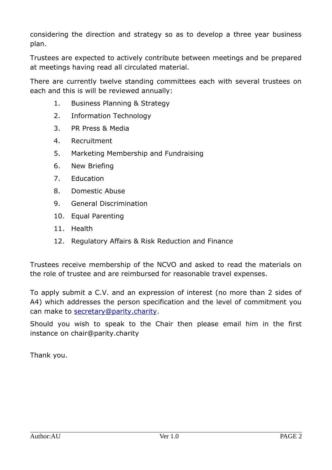considering the direction and strategy so as to develop a three year business plan.

Trustees are expected to actively contribute between meetings and be prepared at meetings having read all circulated material.

There are currently twelve standing committees each with several trustees on each and this is will be reviewed annually:

- 1. Business Planning & Strategy
- 2. Information Technology
- 3. PR Press & Media
- 4. Recruitment
- 5. Marketing Membership and Fundraising
- 6. New Briefing
- 7. Education
- 8. Domestic Abuse
- 9. General Discrimination
- 10. Equal Parenting
- 11. Health
- 12. Regulatory Affairs & Risk Reduction and Finance

Trustees receive membership of the NCVO and asked to read the materials on the role of trustee and are reimbursed for reasonable travel expenses.

To apply submit a C.V. and an expression of interest (no more than 2 sides of A4) which addresses the person specification and the level of commitment you can make to [secretary@parity.charity](mailto:secretary@parity.charity).

Should you wish to speak to the Chair then please email him in the first instance on chair@parity.charity

Thank you.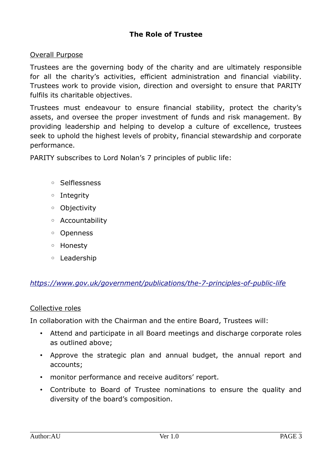## **The Role of Trustee**

#### Overall Purpose

Trustees are the governing body of the charity and are ultimately responsible for all the charity's activities, efficient administration and financial viability. Trustees work to provide vision, direction and oversight to ensure that PARITY fulfils its charitable objectives.

Trustees must endeavour to ensure financial stability, protect the charity's assets, and oversee the proper investment of funds and risk management. By providing leadership and helping to develop a culture of excellence, trustees seek to uphold the highest levels of probity, financial stewardship and corporate performance.

PARITY subscribes to Lord Nolan's 7 principles of public life:

- Selflessness
- Integrity
- Objectivity
- Accountability
- Openness
- Honesty
- Leadership

#### *<https://www.gov.uk/government/publications/the-7-principles-of-public-life>*

#### Collective roles

In collaboration with the Chairman and the entire Board, Trustees will:

- Attend and participate in all Board meetings and discharge corporate roles as outlined above;
- Approve the strategic plan and annual budget, the annual report and accounts;
- monitor performance and receive auditors' report.
- Contribute to Board of Trustee nominations to ensure the quality and diversity of the board's composition.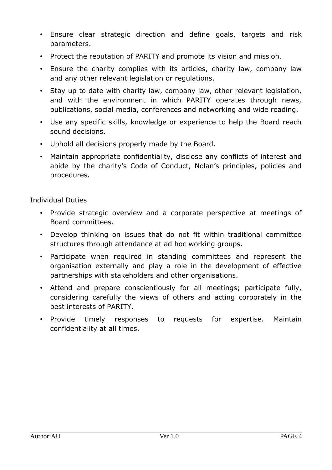- Ensure clear strategic direction and define goals, targets and risk parameters.
- Protect the reputation of PARITY and promote its vision and mission.
- Ensure the charity complies with its articles, charity law, company law and any other relevant legislation or regulations.
- Stay up to date with charity law, company law, other relevant legislation, and with the environment in which PARITY operates through news, publications, social media, conferences and networking and wide reading.
- Use any specific skills, knowledge or experience to help the Board reach sound decisions.
- Uphold all decisions properly made by the Board.
- Maintain appropriate confidentiality, disclose any conflicts of interest and abide by the charity's Code of Conduct, Nolan's principles, policies and procedures.

## Individual Duties

- Provide strategic overview and a corporate perspective at meetings of Board committees.
- Develop thinking on issues that do not fit within traditional committee structures through attendance at ad hoc working groups.
- Participate when required in standing committees and represent the organisation externally and play a role in the development of effective partnerships with stakeholders and other organisations.
- Attend and prepare conscientiously for all meetings; participate fully, considering carefully the views of others and acting corporately in the best interests of PARITY.
- Provide timely responses to requests for expertise. Maintain confidentiality at all times.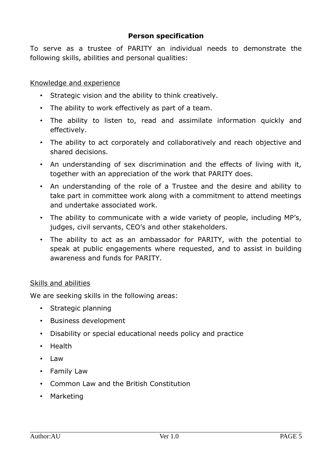### **Person specification**

To serve as a trustee of PARITY an individual needs to demonstrate the following skills, abilities and personal qualities:

#### Knowledge and experience

- Strategic vision and the ability to think creatively.
- The ability to work effectively as part of a team.
- The ability to listen to, read and assimilate information quickly and effectively.
- The ability to act corporately and collaboratively and reach objective and shared decisions.
- An understanding of sex discrimination and the effects of living with it, together with an appreciation of the work that PARITY does.
- An understanding of the role of a Trustee and the desire and ability to take part in committee work along with a commitment to attend meetings and undertake associated work.
- The ability to communicate with a wide variety of people, including MP's, judges, civil servants, CEO's and other stakeholders.
- The ability to act as an ambassador for PARITY, with the potential to speak at public engagements where requested, and to assist in building awareness and funds for PARITY.

#### Skills and abilities

We are seeking skills in the following areas:

- Strategic planning
- Business development
- Disability or special educational needs policy and practice
- Health
- Law
- Family Law
- Common Law and the British Constitution
- Marketing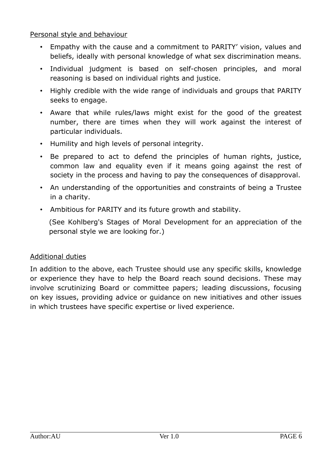Personal style and behaviour

- Empathy with the cause and a commitment to PARITY' vision, values and beliefs, ideally with personal knowledge of what sex discrimination means.
- Individual judgment is based on self-chosen principles, and moral reasoning is based on individual rights and justice.
- Highly credible with the wide range of individuals and groups that PARITY seeks to engage.
- Aware that while rules/laws might exist for the good of the greatest number, there are times when they will work against the interest of particular individuals.
- Humility and high levels of personal integrity.
- Be prepared to act to defend the principles of human rights, justice, common law and equality even if it means going against the rest of society in the process and having to pay the consequences of disapproval.
- An understanding of the opportunities and constraints of being a Trustee in a charity.
- Ambitious for PARITY and its future growth and stability.

(See Kohlberg's Stages of Moral Development for an appreciation of the personal style we are looking for.)

## Additional duties

In addition to the above, each Trustee should use any specific skills, knowledge or experience they have to help the Board reach sound decisions. These may involve scrutinizing Board or committee papers; leading discussions, focusing on key issues, providing advice or guidance on new initiatives and other issues in which trustees have specific expertise or lived experience.